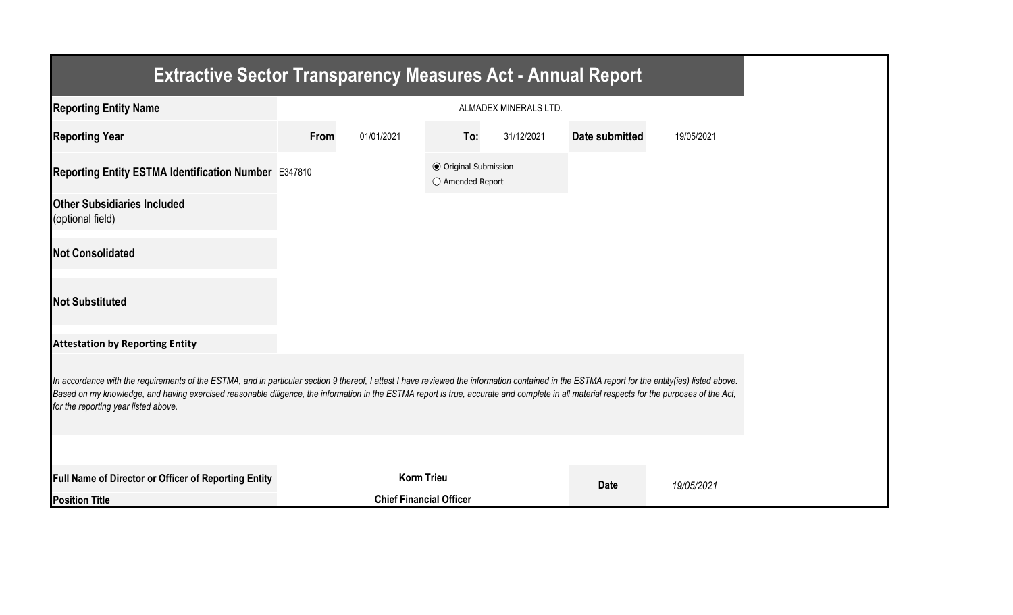| <b>Extractive Sector Transparency Measures Act - Annual Report</b>                                                                                                                                                                                                                                                                                                                                                                    |                       |                                |                                                  |            |                |            |  |  |
|---------------------------------------------------------------------------------------------------------------------------------------------------------------------------------------------------------------------------------------------------------------------------------------------------------------------------------------------------------------------------------------------------------------------------------------|-----------------------|--------------------------------|--------------------------------------------------|------------|----------------|------------|--|--|
| <b>Reporting Entity Name</b>                                                                                                                                                                                                                                                                                                                                                                                                          | ALMADEX MINERALS LTD. |                                |                                                  |            |                |            |  |  |
| <b>Reporting Year</b>                                                                                                                                                                                                                                                                                                                                                                                                                 | From                  | 01/01/2021                     | To:                                              | 31/12/2021 | Date submitted | 19/05/2021 |  |  |
| Reporting Entity ESTMA Identification Number E347810                                                                                                                                                                                                                                                                                                                                                                                  |                       |                                | <b>◎</b> Original Submission<br>○ Amended Report |            |                |            |  |  |
| <b>Other Subsidiaries Included</b><br>(optional field)                                                                                                                                                                                                                                                                                                                                                                                |                       |                                |                                                  |            |                |            |  |  |
| <b>Not Consolidated</b>                                                                                                                                                                                                                                                                                                                                                                                                               |                       |                                |                                                  |            |                |            |  |  |
| <b>Not Substituted</b>                                                                                                                                                                                                                                                                                                                                                                                                                |                       |                                |                                                  |            |                |            |  |  |
| <b>Attestation by Reporting Entity</b>                                                                                                                                                                                                                                                                                                                                                                                                |                       |                                |                                                  |            |                |            |  |  |
| In accordance with the requirements of the ESTMA, and in particular section 9 thereof, I attest I have reviewed the information contained in the ESTMA report for the entity(ies) listed above.<br>Based on my knowledge, and having exercised reasonable diligence, the information in the ESTMA report is true, accurate and complete in all material respects for the purposes of the Act,<br>for the reporting year listed above. |                       |                                |                                                  |            |                |            |  |  |
|                                                                                                                                                                                                                                                                                                                                                                                                                                       |                       |                                |                                                  |            |                |            |  |  |
| Full Name of Director or Officer of Reporting Entity                                                                                                                                                                                                                                                                                                                                                                                  |                       | <b>Korm Trieu</b>              |                                                  |            | <b>Date</b>    | 19/05/2021 |  |  |
| <b>Position Title</b>                                                                                                                                                                                                                                                                                                                                                                                                                 |                       | <b>Chief Financial Officer</b> |                                                  |            |                |            |  |  |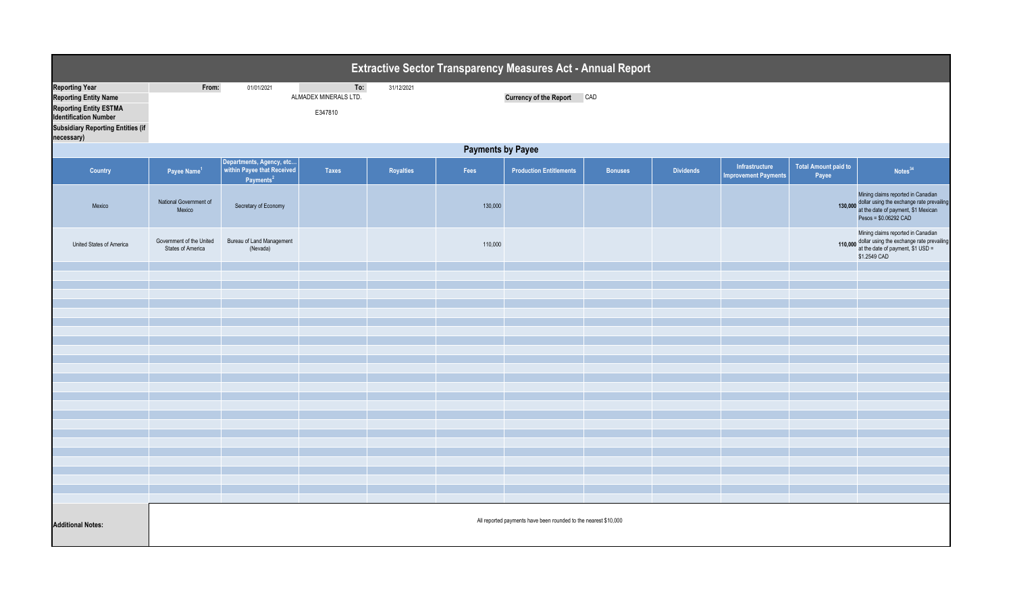| Extractive Sector Transparency Measures Act - Annual Report                                                                                                        |                                                                 |                                                     |                                         |            |         |                                |                |                  |                                               |                                      |                                                                                                                                                         |  |
|--------------------------------------------------------------------------------------------------------------------------------------------------------------------|-----------------------------------------------------------------|-----------------------------------------------------|-----------------------------------------|------------|---------|--------------------------------|----------------|------------------|-----------------------------------------------|--------------------------------------|---------------------------------------------------------------------------------------------------------------------------------------------------------|--|
| <b>Reporting Year</b><br><b>Reporting Entity Name</b><br><b>Reporting Entity ESTMA</b><br><b>Identification Number</b><br><b>Subsidiary Reporting Entities (if</b> | From:                                                           | 01/01/2021                                          | To:<br>ALMADEX MINERALS LTD.<br>E347810 | 31/12/2021 |         | Currency of the Report CAD     |                |                  |                                               |                                      |                                                                                                                                                         |  |
| necessary)                                                                                                                                                         |                                                                 |                                                     |                                         |            |         |                                |                |                  |                                               |                                      |                                                                                                                                                         |  |
|                                                                                                                                                                    | <b>Payments by Payee</b><br>Departments, Agency, etc            |                                                     |                                         |            |         |                                |                |                  |                                               |                                      |                                                                                                                                                         |  |
| <b>Country</b>                                                                                                                                                     | Payee Name <sup>1</sup>                                         | within Payee that Received<br>Payments <sup>2</sup> | <b>Taxes</b>                            | Royalties  | Fees    | <b>Production Entitlements</b> | <b>Bonuses</b> | <b>Dividends</b> | Infrastructure<br><b>Improvement Payments</b> | <b>Total Amount paid to</b><br>Payee | Notes <sup>34</sup>                                                                                                                                     |  |
| Mexico                                                                                                                                                             | National Government of<br>Mexico                                | Secretary of Economy                                |                                         |            | 130,000 |                                |                |                  |                                               |                                      | Mining claims reported in Canadian<br>130,000 dollar using the exchange rate prevailing<br>at the date of payment, \$1 Mexican<br>Pesos = \$0.06292 CAD |  |
| United States of America                                                                                                                                           | Government of the United<br><b>States of America</b>            | Bureau of Land Management<br>(Nevada)               |                                         |            | 110,000 |                                |                |                  |                                               |                                      | Mining claims reported in Canadian<br>110,000 dollar using the exchange rate prevailing<br>at the date of payment, $$1$ USD =<br>\$1.2549 CAD           |  |
|                                                                                                                                                                    |                                                                 |                                                     |                                         |            |         |                                |                |                  |                                               |                                      |                                                                                                                                                         |  |
|                                                                                                                                                                    |                                                                 |                                                     |                                         |            |         |                                |                |                  |                                               |                                      |                                                                                                                                                         |  |
|                                                                                                                                                                    |                                                                 |                                                     |                                         |            |         |                                |                |                  |                                               |                                      |                                                                                                                                                         |  |
|                                                                                                                                                                    |                                                                 |                                                     |                                         |            |         |                                |                |                  |                                               |                                      |                                                                                                                                                         |  |
|                                                                                                                                                                    |                                                                 |                                                     |                                         |            |         |                                |                |                  |                                               |                                      |                                                                                                                                                         |  |
|                                                                                                                                                                    |                                                                 |                                                     |                                         |            |         |                                |                |                  |                                               |                                      |                                                                                                                                                         |  |
|                                                                                                                                                                    |                                                                 |                                                     |                                         |            |         |                                |                |                  |                                               |                                      |                                                                                                                                                         |  |
|                                                                                                                                                                    |                                                                 |                                                     |                                         |            |         |                                |                |                  |                                               |                                      |                                                                                                                                                         |  |
|                                                                                                                                                                    |                                                                 |                                                     |                                         |            |         |                                |                |                  |                                               |                                      |                                                                                                                                                         |  |
|                                                                                                                                                                    |                                                                 |                                                     |                                         |            |         |                                |                |                  |                                               |                                      |                                                                                                                                                         |  |
|                                                                                                                                                                    |                                                                 |                                                     |                                         |            |         |                                |                |                  |                                               |                                      |                                                                                                                                                         |  |
|                                                                                                                                                                    |                                                                 |                                                     |                                         |            |         |                                |                |                  |                                               |                                      |                                                                                                                                                         |  |
|                                                                                                                                                                    |                                                                 |                                                     |                                         |            |         |                                |                |                  |                                               |                                      |                                                                                                                                                         |  |
|                                                                                                                                                                    |                                                                 |                                                     |                                         |            |         |                                |                |                  |                                               |                                      |                                                                                                                                                         |  |
|                                                                                                                                                                    |                                                                 |                                                     |                                         |            |         |                                |                |                  |                                               |                                      |                                                                                                                                                         |  |
|                                                                                                                                                                    |                                                                 |                                                     |                                         |            |         |                                |                |                  |                                               |                                      |                                                                                                                                                         |  |
| <b>Additional Notes:</b>                                                                                                                                           | All reported payments have been rounded to the nearest \$10,000 |                                                     |                                         |            |         |                                |                |                  |                                               |                                      |                                                                                                                                                         |  |